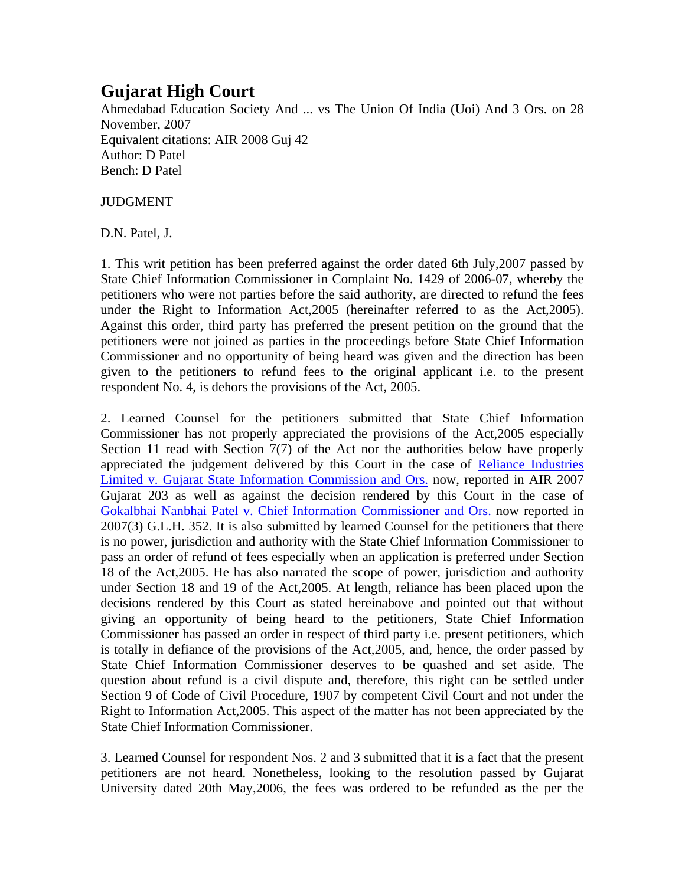## **Gujarat High Court**

Ahmedabad Education Society And ... vs The Union Of India (Uoi) And 3 Ors. on 28 November, 2007 Equivalent citations: AIR 2008 Guj 42 Author: D Patel Bench: D Patel

JUDGMENT

D.N. Patel, J.

1. This writ petition has been preferred against the order dated 6th July,2007 passed by State Chief Information Commissioner in Complaint No. 1429 of 2006-07, whereby the petitioners who were not parties before the said authority, are directed to refund the fees under the Right to Information Act,2005 (hereinafter referred to as the Act,2005). Against this order, third party has preferred the present petition on the ground that the petitioners were not joined as parties in the proceedings before State Chief Information Commissioner and no opportunity of being heard was given and the direction has been given to the petitioners to refund fees to the original applicant i.e. to the present respondent No. 4, is dehors the provisions of the Act, 2005.

2. Learned Counsel for the petitioners submitted that State Chief Information Commissioner has not properly appreciated the provisions of the Act,2005 especially Section 11 read with Section 7(7) of the Act nor the authorities below have properly appreciated the judgement delivered by this Court in the case of Reliance Industries Limited v. Gujarat State Information Commission and Ors. now, reported in AIR 2007 Gujarat 203 as well as against the decision rendered by this Court in the case of Gokalbhai Nanbhai Patel v. Chief Information Commissioner and Ors. now reported in 2007(3) G.L.H. 352. It is also submitted by learned Counsel for the petitioners that there is no power, jurisdiction and authority with the State Chief Information Commissioner to pass an order of refund of fees especially when an application is preferred under Section 18 of the Act,2005. He has also narrated the scope of power, jurisdiction and authority under Section 18 and 19 of the Act,2005. At length, reliance has been placed upon the decisions rendered by this Court as stated hereinabove and pointed out that without giving an opportunity of being heard to the petitioners, State Chief Information Commissioner has passed an order in respect of third party i.e. present petitioners, which is totally in defiance of the provisions of the Act,2005, and, hence, the order passed by State Chief Information Commissioner deserves to be quashed and set aside. The question about refund is a civil dispute and, therefore, this right can be settled under Section 9 of Code of Civil Procedure, 1907 by competent Civil Court and not under the Right to Information Act,2005. This aspect of the matter has not been appreciated by the State Chief Information Commissioner.

3. Learned Counsel for respondent Nos. 2 and 3 submitted that it is a fact that the present petitioners are not heard. Nonetheless, looking to the resolution passed by Gujarat University dated 20th May,2006, the fees was ordered to be refunded as the per the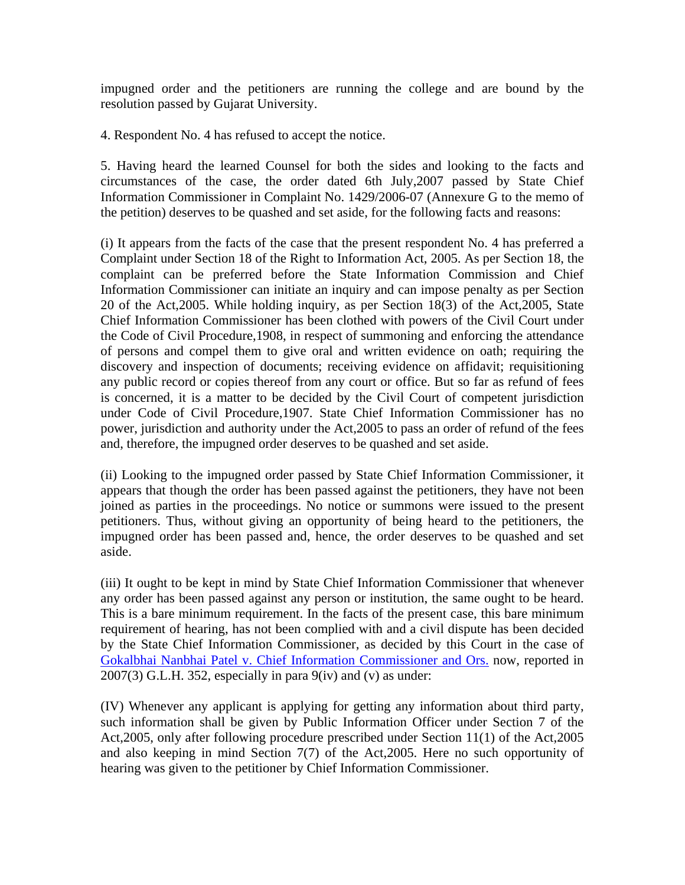impugned order and the petitioners are running the college and are bound by the resolution passed by Gujarat University.

4. Respondent No. 4 has refused to accept the notice.

5. Having heard the learned Counsel for both the sides and looking to the facts and circumstances of the case, the order dated 6th July,2007 passed by State Chief Information Commissioner in Complaint No. 1429/2006-07 (Annexure G to the memo of the petition) deserves to be quashed and set aside, for the following facts and reasons:

(i) It appears from the facts of the case that the present respondent No. 4 has preferred a Complaint under Section 18 of the Right to Information Act, 2005. As per Section 18, the complaint can be preferred before the State Information Commission and Chief Information Commissioner can initiate an inquiry and can impose penalty as per Section 20 of the Act,2005. While holding inquiry, as per Section 18(3) of the Act,2005, State Chief Information Commissioner has been clothed with powers of the Civil Court under the Code of Civil Procedure,1908, in respect of summoning and enforcing the attendance of persons and compel them to give oral and written evidence on oath; requiring the discovery and inspection of documents; receiving evidence on affidavit; requisitioning any public record or copies thereof from any court or office. But so far as refund of fees is concerned, it is a matter to be decided by the Civil Court of competent jurisdiction under Code of Civil Procedure,1907. State Chief Information Commissioner has no power, jurisdiction and authority under the Act,2005 to pass an order of refund of the fees and, therefore, the impugned order deserves to be quashed and set aside.

(ii) Looking to the impugned order passed by State Chief Information Commissioner, it appears that though the order has been passed against the petitioners, they have not been joined as parties in the proceedings. No notice or summons were issued to the present petitioners. Thus, without giving an opportunity of being heard to the petitioners, the impugned order has been passed and, hence, the order deserves to be quashed and set aside.

(iii) It ought to be kept in mind by State Chief Information Commissioner that whenever any order has been passed against any person or institution, the same ought to be heard. This is a bare minimum requirement. In the facts of the present case, this bare minimum requirement of hearing, has not been complied with and a civil dispute has been decided by the State Chief Information Commissioner, as decided by this Court in the case of Gokalbhai Nanbhai Patel v. Chief Information Commissioner and Ors. now, reported in  $2007(3)$  G.L.H. 352, especially in para  $9(iv)$  and  $(v)$  as under:

(IV) Whenever any applicant is applying for getting any information about third party, such information shall be given by Public Information Officer under Section 7 of the Act,2005, only after following procedure prescribed under Section 11(1) of the Act,2005 and also keeping in mind Section 7(7) of the Act,2005. Here no such opportunity of hearing was given to the petitioner by Chief Information Commissioner.